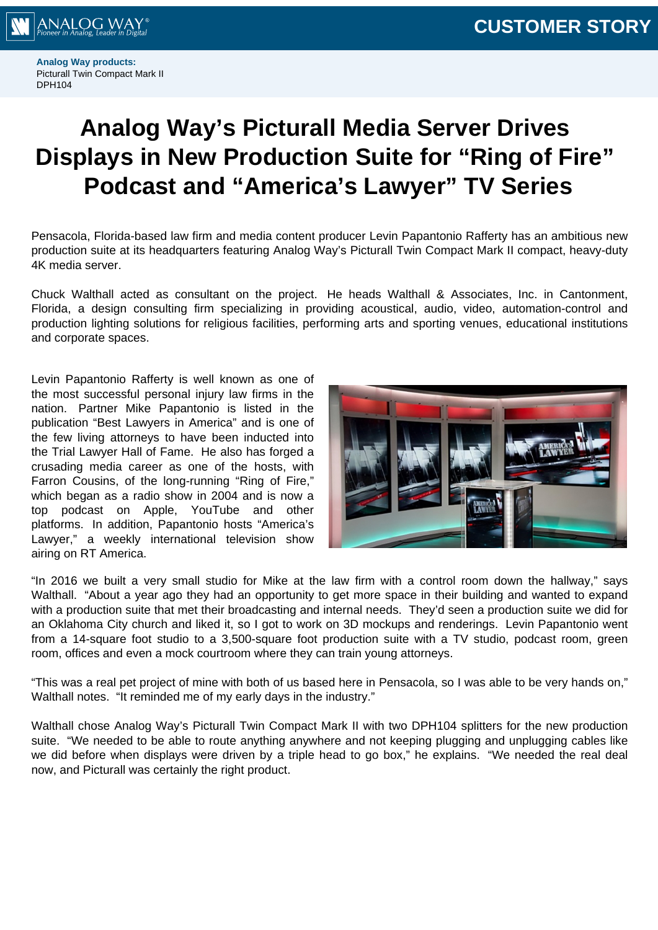

**Analog Way products:** Picturall Twin Compact Mark II DPH104

## **Analog Way's Picturall Media Server Drives Displays in New Production Suite for "Ring of Fire" Podcast and "America's Lawyer" TV Series**

Pensacola, Florida-based law firm and media content producer Levin Papantonio Rafferty has an ambitious new production suite at its headquarters featuring Analog Way's Picturall Twin Compact Mark II compact, heavy-duty 4K media server.

Chuck Walthall acted as consultant on the project. He heads Walthall & Associates, Inc. in Cantonment, Florida, a design consulting firm specializing in providing acoustical, audio, video, automation-control and production lighting solutions for religious facilities, performing arts and sporting venues, educational institutions and corporate spaces.

Levin Papantonio Rafferty is well known as one of the most successful personal injury law firms in the nation. Partner Mike Papantonio is listed in the publication "Best Lawyers in America" and is one of the few living attorneys to have been inducted into the Trial Lawyer Hall of Fame. He also has forged a crusading media career as one of the hosts, with Farron Cousins, of the long-running "Ring of Fire," which began as a radio show in 2004 and is now a top podcast on Apple, YouTube and other platforms. In addition, Papantonio hosts "America's Lawyer," a weekly international television show airing on RT America.



"In 2016 we built a very small studio for Mike at the law firm with a control room down the hallway," says Walthall. "About a year ago they had an opportunity to get more space in their building and wanted to expand with a production suite that met their broadcasting and internal needs. They'd seen a production suite we did for an Oklahoma City church and liked it, so I got to work on 3D mockups and renderings. Levin Papantonio went from a 14-square foot studio to a 3,500-square foot production suite with a TV studio, podcast room, green room, offices and even a mock courtroom where they can train young attorneys.

"This was a real pet project of mine with both of us based here in Pensacola, so I was able to be very hands on," Walthall notes. "It reminded me of my early days in the industry."

Walthall chose Analog Way's Picturall Twin Compact Mark II with two DPH104 splitters for the new production suite. "We needed to be able to route anything anywhere and not keeping plugging and unplugging cables like we did before when displays were driven by a triple head to go box," he explains. "We needed the real deal now, and Picturall was certainly the right product.